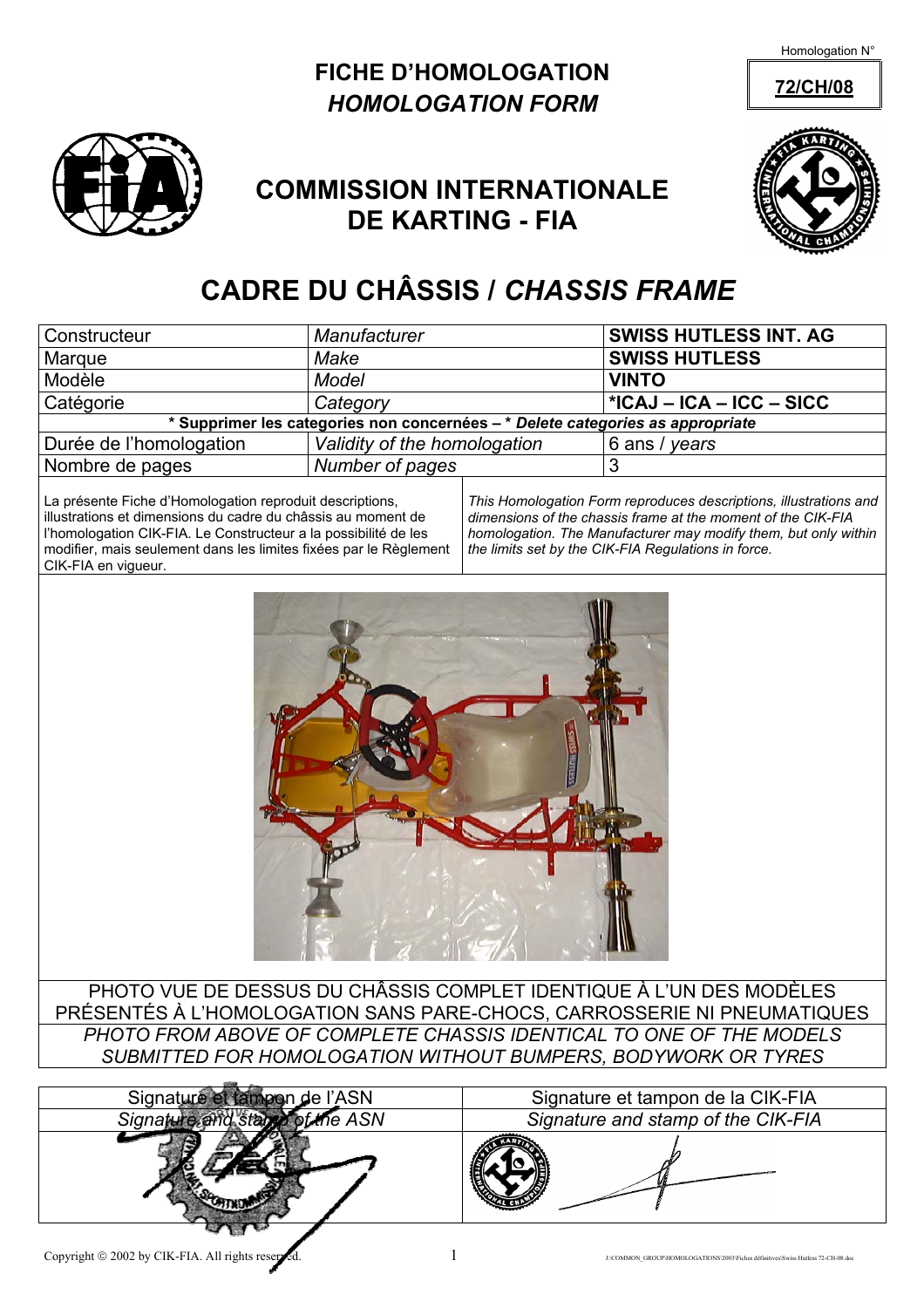Homologation N°





## **COMMISSION INTERNATIONALE DE KARTING - FIA**



# **CADRE DU CHÂSSIS /** *CHASSIS FRAME*

| Constructeur                                                                   | Manufacturer                 | <b>SWISS HUTLESS INT. AG</b> |  |  |  |  |  |  |
|--------------------------------------------------------------------------------|------------------------------|------------------------------|--|--|--|--|--|--|
| Marque                                                                         | Make                         | <b>SWISS HUTLESS</b>         |  |  |  |  |  |  |
| Modèle                                                                         | <b>Model</b>                 | <b>VINTO</b>                 |  |  |  |  |  |  |
| Catégorie                                                                      | Category                     | *ICAJ – ICA – ICC – SICC     |  |  |  |  |  |  |
| * Supprimer les categories non concernées – * Delete categories as appropriate |                              |                              |  |  |  |  |  |  |
| Durée de l'homologation                                                        | Validity of the homologation | 6 ans / years                |  |  |  |  |  |  |
| Nombre de pages                                                                | Number of pages              |                              |  |  |  |  |  |  |

La présente Fiche d'Homologation reproduit descriptions, illustrations et dimensions du cadre du châssis au moment de l'homologation CIK-FIA. Le Constructeur a la possibilité de les modifier, mais seulement dans les limites fixées par le Règlement CIK-FIA en vigueur.

*This Homologation Form reproduces descriptions, illustrations and dimensions of the chassis frame at the moment of the CIK-FIA homologation. The Manufacturer may modify them, but only within the limits set by the CIK-FIA Regulations in force.* 



PHOTO VUE DE DESSUS DU CHÂSSIS COMPLET IDENTIQUE À L'UN DES MODÈLES PRÉSENTÉS À L'HOMOLOGATION SANS PARE-CHOCS, CARROSSERIE NI PNEUMATIQUES *PHOTO FROM ABOVE OF COMPLETE CHASSIS IDENTICAL TO ONE OF THE MODELS SUBMITTED FOR HOMOLOGATION WITHOUT BUMPERS, BODYWORK OR TYRES* 



Signature et tampon de l'ASN Signature et tampon de la CIK-FIA *Signature and stamp of the ASN Signature and stamp of the CIK-FIA*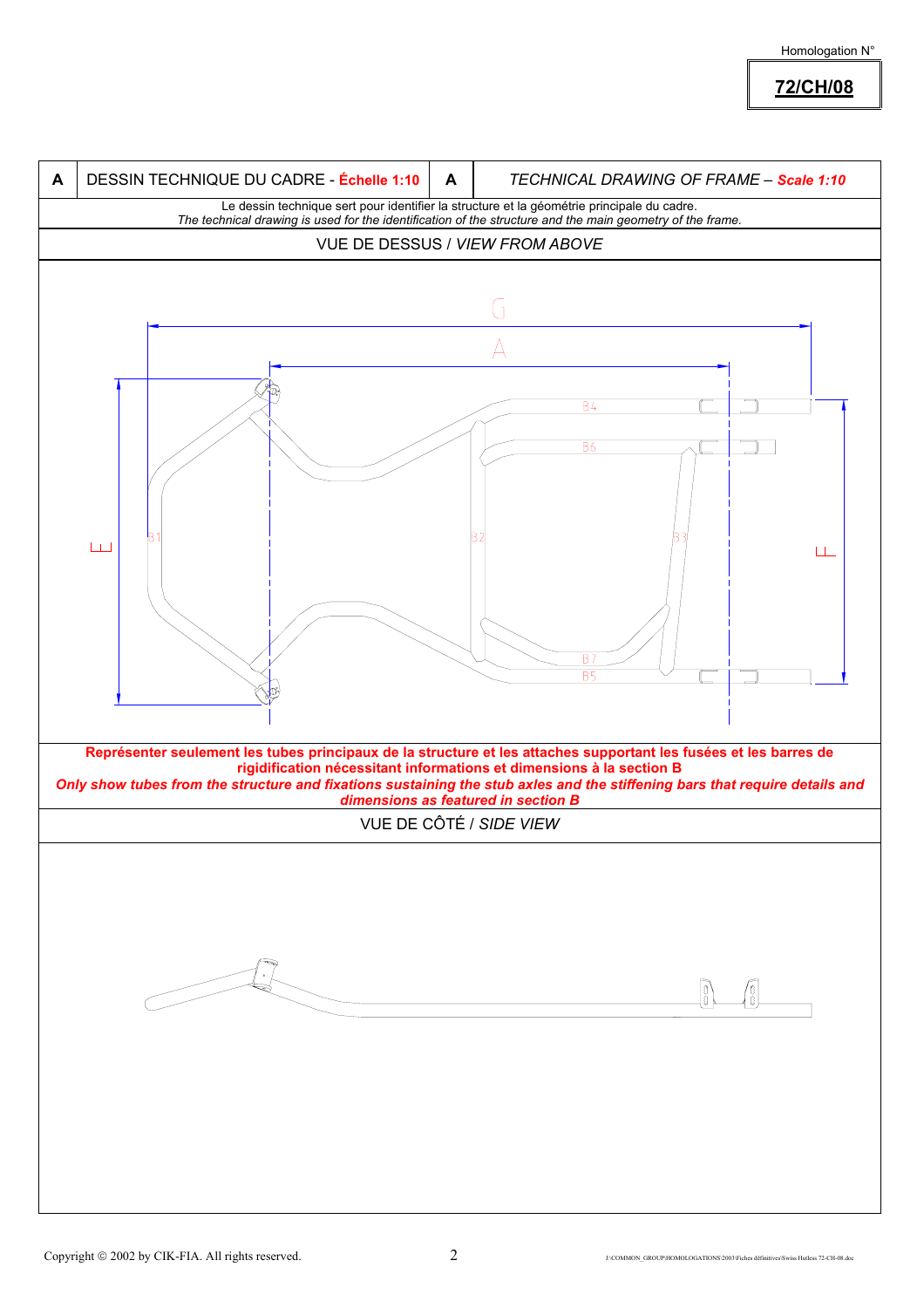#### Homologation N°

### **72/CH/08**